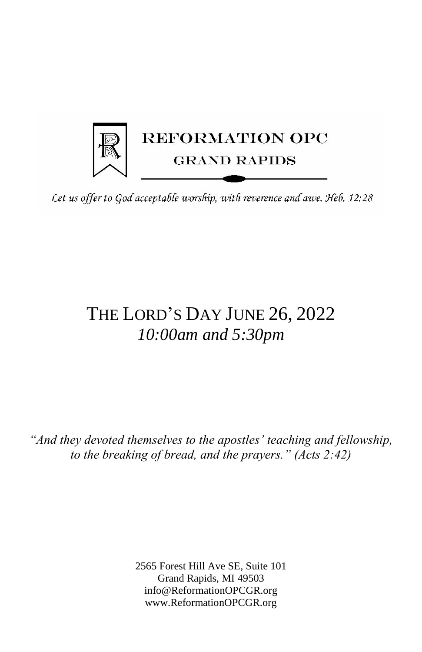

Let us offer to God acceptable worship, with reverence and awe. Heb. 12:28

# THE LORD'S DAY JUNE 26, 2022 *10:00am and 5:30pm*

*"And they devoted themselves to the apostles' teaching and fellowship, to the breaking of bread, and the prayers." (Acts 2:42)*

> 2565 Forest Hill Ave SE, Suite 101 Grand Rapids, MI 49503 info@ReformationOPCGR.org www.ReformationOPCGR.org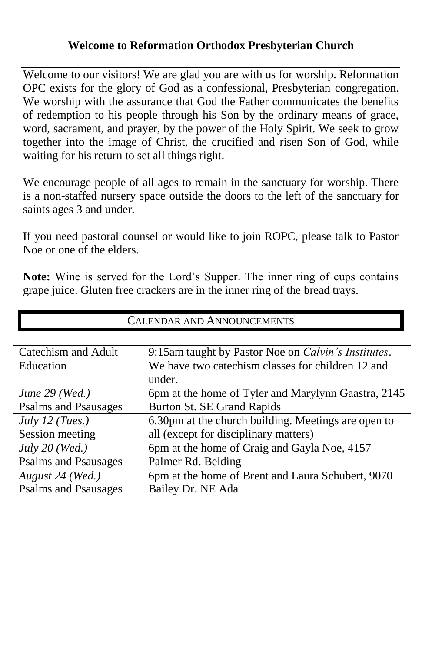### **Welcome to Reformation Orthodox Presbyterian Church**

Welcome to our visitors! We are glad you are with us for worship. Reformation OPC exists for the glory of God as a confessional, Presbyterian congregation. We worship with the assurance that God the Father communicates the benefits of redemption to his people through his Son by the ordinary means of grace, word, sacrament, and prayer, by the power of the Holy Spirit. We seek to grow together into the image of Christ, the crucified and risen Son of God, while waiting for his return to set all things right.

We encourage people of all ages to remain in the sanctuary for worship. There is a non-staffed nursery space outside the doors to the left of the sanctuary for saints ages 3 and under.

If you need pastoral counsel or would like to join ROPC, please talk to Pastor Noe or one of the elders.

**Note:** Wine is served for the Lord's Supper. The inner ring of cups contains grape juice. Gluten free crackers are in the inner ring of the bread trays.

| <b>CALENDAR AND ANNOUNCEMENTS</b> |                                                             |  |
|-----------------------------------|-------------------------------------------------------------|--|
|                                   |                                                             |  |
| <b>Catechism and Adult</b>        | 9:15am taught by Pastor Noe on <i>Calvin's Institutes</i> . |  |
| Education                         | We have two catechism classes for children 12 and           |  |
|                                   | under.                                                      |  |
| June $29$ (Wed.)                  | 6pm at the home of Tyler and Marylynn Gaastra, 2145         |  |
| <b>Psalms and Psausages</b>       | Burton St. SE Grand Rapids                                  |  |
| July 12 (Tues.)                   | 6.30pm at the church building. Meetings are open to         |  |
| Session meeting                   | all (except for disciplinary matters)                       |  |
| July $20$ (Wed.)                  | 6pm at the home of Craig and Gayla Noe, 4157                |  |
| <b>Psalms and Psausages</b>       | Palmer Rd. Belding                                          |  |
| August 24 (Wed.)                  | 6pm at the home of Brent and Laura Schubert, 9070           |  |
| <b>Psalms and Psausages</b>       | Bailey Dr. NE Ada                                           |  |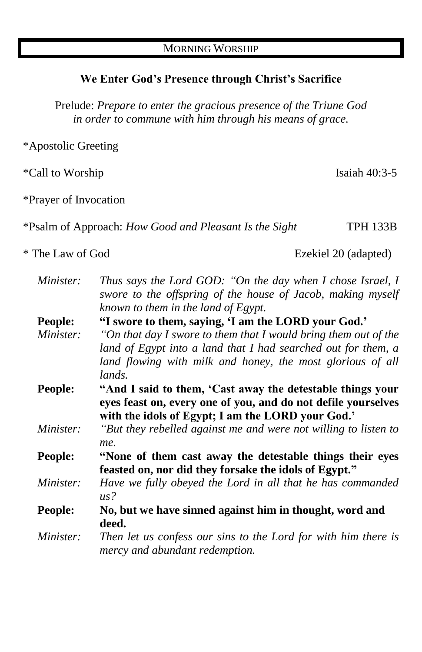#### **We Enter God's Presence through Christ's Sacrifice**

Prelude: *Prepare to enter the gracious presence of the Triune God in order to commune with him through his means of grace.*

\*Apostolic Greeting

\*Call to Worship Isaiah 40:3-5

\*Prayer of Invocation

\*Psalm of Approach: *How Good and Pleasant Is the Sight* TPH 133B

\* The Law of God Ezekiel 20 (adapted)

| Minister:        | Thus says the Lord GOD: "On the day when I chose Israel, I                                       |
|------------------|--------------------------------------------------------------------------------------------------|
|                  | swore to the offspring of the house of Jacob, making myself                                      |
|                  | known to them in the land of $E$ gypt.                                                           |
| People:          | "I swore to them, saying, 'I am the LORD your God.'                                              |
| Minister:        | "On that day I swore to them that I would bring them out of the                                  |
|                  | land of Egypt into a land that I had searched out for them, a                                    |
|                  | land flowing with milk and honey, the most glorious of all                                       |
|                  | lands.                                                                                           |
| <b>People:</b>   | "And I said to them, 'Cast away the detestable things your                                       |
|                  | eyes feast on, every one of you, and do not defile yourselves                                    |
|                  | with the idols of Egypt; I am the LORD your God.'                                                |
| Minister:        | "But they rebelled against me and were not willing to listen to                                  |
|                  | me.                                                                                              |
| People:          | "None of them cast away the detestable things their eyes                                         |
|                  | feasted on, nor did they forsake the idols of Egypt."                                            |
| <i>Minister:</i> | Have we fully obeyed the Lord in all that he has commanded                                       |
|                  | $\mu$ s?                                                                                         |
| <b>People:</b>   | No, but we have sinned against him in thought, word and                                          |
|                  | deed.                                                                                            |
| Minister:        | Then let us confess our sins to the Lord for with him there is<br>mercy and abundant redemption. |
|                  |                                                                                                  |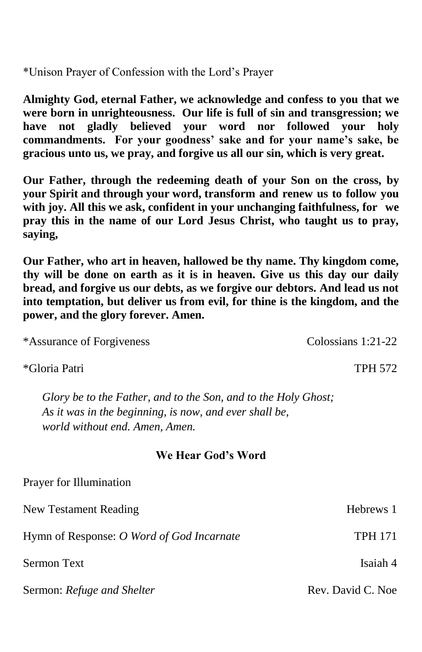\*Unison Prayer of Confession with the Lord's Prayer

**Almighty God, eternal Father, we acknowledge and confess to you that we were born in unrighteousness. Our life is full of sin and transgression; we have not gladly believed your word nor followed your holy commandments. For your goodness' sake and for your name's sake, be gracious unto us, we pray, and forgive us all our sin, which is very great.** 

**Our Father, through the redeeming death of your Son on the cross, by your Spirit and through your word, transform and renew us to follow you with joy. All this we ask, confident in your unchanging faithfulness, for we pray this in the name of our Lord Jesus Christ, who taught us to pray, saying,**

**Our Father, who art in heaven, hallowed be thy name. Thy kingdom come, thy will be done on earth as it is in heaven. Give us this day our daily bread, and forgive us our debts, as we forgive our debtors. And lead us not into temptation, but deliver us from evil, for thine is the kingdom, and the power, and the glory forever. Amen.**

\*Assurance of Forgiveness Colossians 1:21-22

\*Gloria Patri TPH 572

*Glory be to the Father, and to the Son, and to the Holy Ghost; As it was in the beginning, is now, and ever shall be, world without end. Amen, Amen.*

#### **We Hear God's Word**

| Prayer for Illumination                   |                   |
|-------------------------------------------|-------------------|
| New Testament Reading                     | Hebrews 1         |
| Hymn of Response: O Word of God Incarnate | <b>TPH 171</b>    |
| Sermon Text                               | Isaiah 4          |
| Sermon: Refuge and Shelter                | Rev. David C. Noe |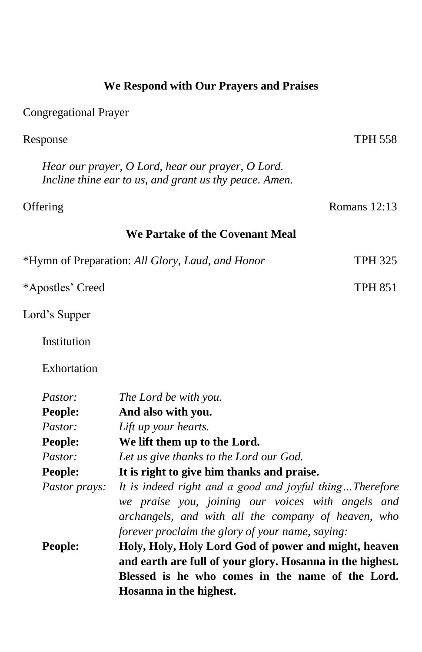|                               | We Respond with Our Prayers and Praises                                                                                                                                                                                 |                |
|-------------------------------|-------------------------------------------------------------------------------------------------------------------------------------------------------------------------------------------------------------------------|----------------|
| <b>Congregational Prayer</b>  |                                                                                                                                                                                                                         |                |
| Response                      |                                                                                                                                                                                                                         | <b>TPH 558</b> |
|                               | Hear our prayer, O Lord, hear our prayer, O Lord.<br>Incline thine ear to us, and grant us thy peace. Amen.                                                                                                             |                |
| Offering                      |                                                                                                                                                                                                                         | Romans $12:13$ |
|                               | We Partake of the Covenant Meal                                                                                                                                                                                         |                |
|                               | *Hymn of Preparation: All Glory, Laud, and Honor                                                                                                                                                                        | <b>TPH 325</b> |
| *Apostles' Creed              |                                                                                                                                                                                                                         | TPH 851        |
| Lord's Supper                 |                                                                                                                                                                                                                         |                |
| Institution                   |                                                                                                                                                                                                                         |                |
| Exhortation                   |                                                                                                                                                                                                                         |                |
| Pastor:<br>People:<br>Pastor: | The Lord be with you.<br>And also with you.<br>Lift up your hearts.                                                                                                                                                     |                |
| People:<br>Pastor:            | We lift them up to the Lord.<br>Let us give thanks to the Lord our God.                                                                                                                                                 |                |
| People:                       | It is right to give him thanks and praise.                                                                                                                                                                              |                |
| Pastor prays:                 | It is indeed right and a good and joyful thingTherefore<br>we praise you, joining our voices with angels and<br>archangels, and with all the company of heaven, who<br>forever proclaim the glory of your name, saying: |                |
| People:                       | Holy, Holy, Holy Lord God of power and might, heaven<br>and earth are full of your glory. Hosanna in the highest.<br>Blessed is he who comes in the name of the Lord.<br>Hosanna in the highest.                        |                |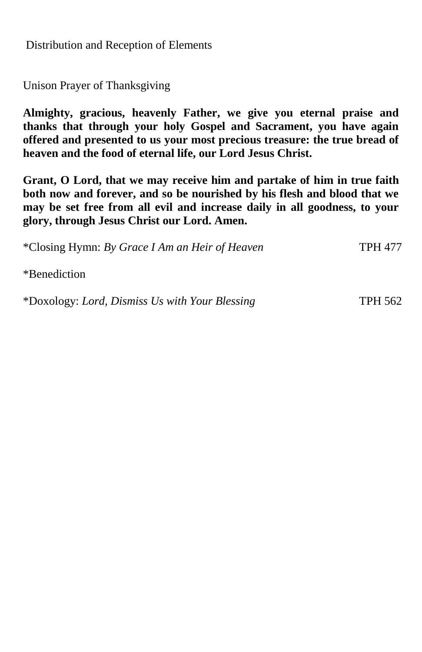Distribution and Reception of Elements

Unison Prayer of Thanksgiving

**Almighty, gracious, heavenly Father, we give you eternal praise and thanks that through your holy Gospel and Sacrament, you have again offered and presented to us your most precious treasure: the true bread of heaven and the food of eternal life, our Lord Jesus Christ.** 

**Grant, O Lord, that we may receive him and partake of him in true faith both now and forever, and so be nourished by his flesh and blood that we may be set free from all evil and increase daily in all goodness, to your glory, through Jesus Christ our Lord. Amen.**

\*Closing Hymn: *By Grace I Am an Heir of Heaven* TPH 477

\*Benediction

\*Doxology: *Lord, Dismiss Us with Your Blessing* TPH 562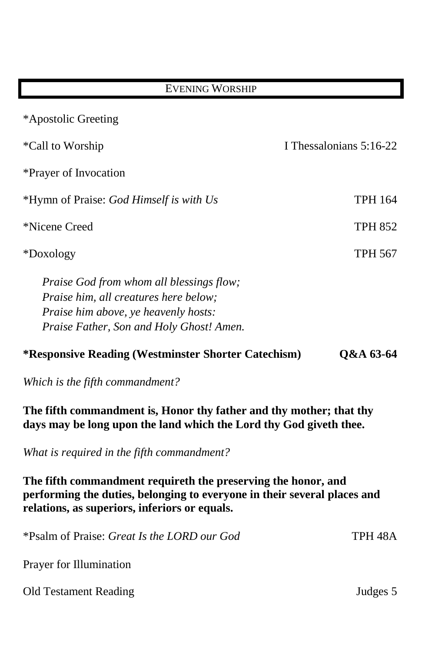| <b>EVENING WORSHIP</b>                                                                                                                                                       |                         |
|------------------------------------------------------------------------------------------------------------------------------------------------------------------------------|-------------------------|
| *Apostolic Greeting                                                                                                                                                          |                         |
| *Call to Worship<br>*Prayer of Invocation                                                                                                                                    | I Thessalonians 5:16-22 |
| *Hymn of Praise: God Himself is with Us                                                                                                                                      | <b>TPH 164</b>          |
| *Nicene Creed                                                                                                                                                                | <b>TPH 852</b>          |
| *Doxology                                                                                                                                                                    | TPH 567                 |
| Praise God from whom all blessings flow;<br><i>Praise him, all creatures here below;</i><br>Praise him above, ye heavenly hosts:<br>Praise Father, Son and Holy Ghost! Amen. |                         |

# **\*Responsive Reading (Westminster Shorter Catechism) Q&A 63-64**

*Which is the fifth commandment?*

**The fifth commandment is, Honor thy father and thy mother; that thy days may be long upon the land which the Lord thy God giveth thee.**

*What is required in the fifth commandment?*

**The fifth commandment requireth the preserving the honor, and performing the duties, belonging to everyone in their several places and relations, as superiors, inferiors or equals.**

| *Psalm of Praise: <i>Great Is the LORD our God</i> | TPH 48A  |
|----------------------------------------------------|----------|
| Prayer for Illumination                            |          |
| Old Testament Reading                              | Judges 5 |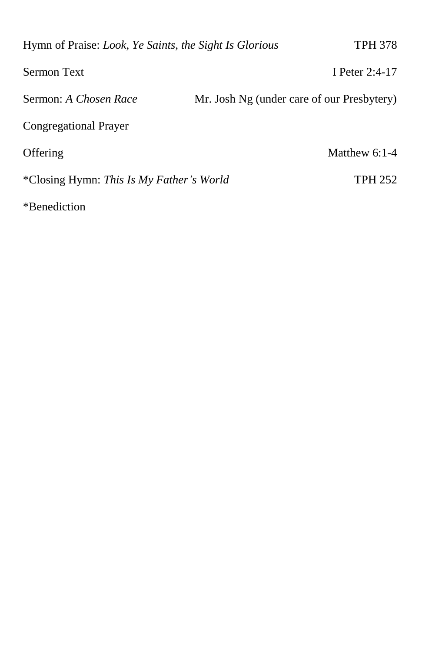| Hymn of Praise: Look, Ye Saints, the Sight Is Glorious | TPH 378                                    |
|--------------------------------------------------------|--------------------------------------------|
| <b>Sermon Text</b>                                     | I Peter $2:4-17$                           |
| Sermon: A Chosen Race                                  | Mr. Josh Ng (under care of our Presbytery) |
| Congregational Prayer                                  |                                            |
| Offering                                               | Matthew $6:1-4$                            |
| *Closing Hymn: This Is My Father's World               | <b>TPH 252</b>                             |
| *Benediction                                           |                                            |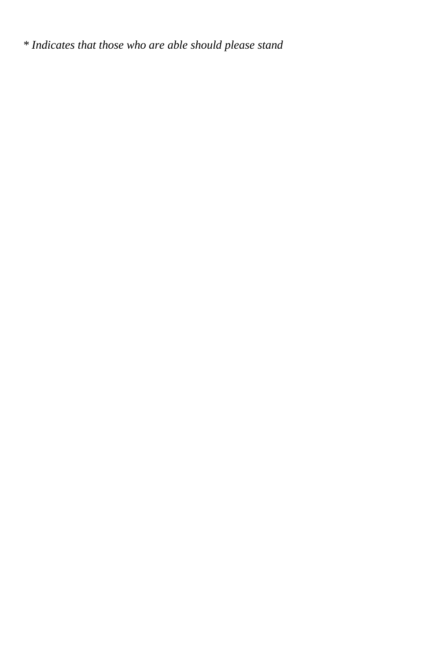*\* Indicates that those who are able should please stand*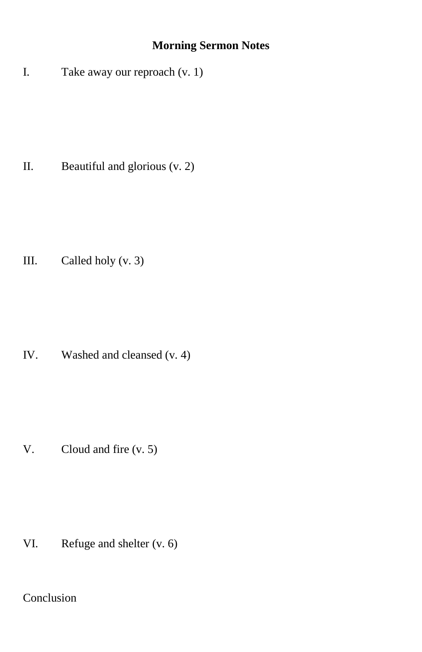# **Morning Sermon Notes**

I. Take away our reproach (v. 1)

II. Beautiful and glorious (v. 2)

III. Called holy (v. 3)

IV. Washed and cleansed (v. 4)

V. Cloud and fire (v. 5)

VI. Refuge and shelter (v. 6)

Conclusion